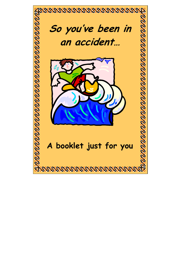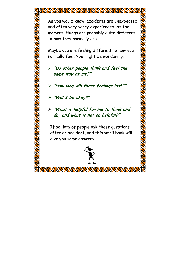## disclosured and conservation and solid

As you would know, accidents are unexpected and often very scary experiences. At the moment, things are probably quite different to how they normally are.

Maybe you are feeling different to how you normally feel. You might be wondering…

- ¾ **"Do other people think and feel the same way as me?"**
- ¾ **"How long will these feelings last?"**

¾ **"Will I be okay?"** 

<u>u di separa di separa di separa di separa di separa di separa di separa di separa di separa di separa di separa di separa di separa di separa di separa di separa di separa di separa di separa di separa di separa di separa</u>

¾ **"What is helpful for me to think and do, and what is not so helpful?"**

If so, lots of people ask these questions after an accident, and this small book will give you some answers.

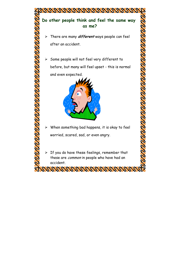

**PAPAPAPAPAPAPAPAPAPA**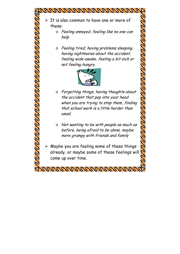$\triangleright$  It is also common to have one or more of these:

**MARAGARA KATA ATAN TARTA** 

- o Feeling annoyed, feeling like no one can help
- o Feeling tired, having problems sleeping, having nightmares about the accident, feeling wide-awake, feeling a bit sick or not feeling hungry.



- o Forgetting things, having thoughts about the accident that pop into your head when you are trying to stop them, finding that school work is a little harder than usual.
- o Not wanting to be with people as much as before, being afraid to be alone, maybe more grumpy with friends and family
- $\triangleright$  Maybe you are feeling some of these things already, or maybe some of these feelings will come up over time.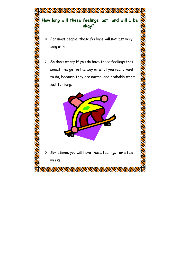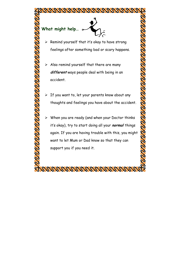

**A BARA A BARA A BARA A BARA A BARA A BARA A BARA A BARA A BARA A BARA A BARA A BARA A BARA A BARA A BARA A BAR** 

Adj Adj Adj Adj Adj Adj Adj Adj

 $\triangleright$  Remind yourself that it's okay to have strong feelings after something bad or scary happens.

- $\triangleright$  Also remind yourself that there are many **different** ways people deal with being in an accident.
- $\triangleright$  If you want to, let your parents know about any thoughts and feelings you have about the accident.

**PARTY PARTY PARTY PARTY PARTY PARTY PARTY PARTY PARTY PARTY PARTY PARTY PARTY PARTY PARTY PARTY PARTY PARTY PA** 

 $\triangleright$  When you are ready (and when your Doctor thinks it's okay), try to start doing all your **normal** things again. If you are having trouble with this, you might want to let Mum or Dad know so that they can support you if you need it.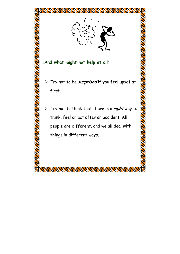

**…And what might not help at all:** 

**TANA RABA SEREGIA DE LA PARADA DE LA PARADA DE LA PARADA DE LA PARADA DE LA PARADA DE LA PARADA DE LA PARADA DE** 

¾ Try not to be **surprised** if you feel upset at first.

**PROGRAM PROGRAM PROGRAM** 

¾ Try not to think that there is a **right** way to think, feel or act after an accident. All people are different, and we all deal with things in different ways.